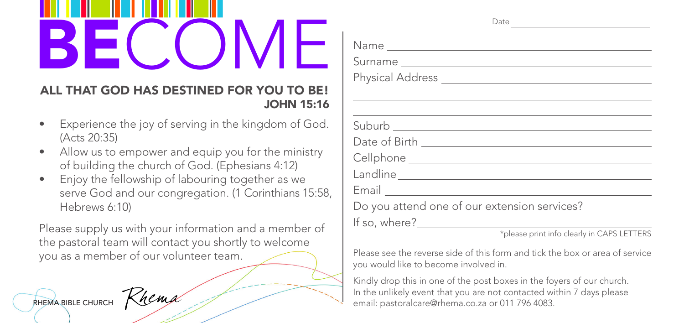## BECOME

## ALL THAT GOD HAS DESTINED FOR YOU TO BE! JOHN 15:16

- Experience the joy of serving in the kingdom of God. (Acts 20:35)
- Allow us to empower and equip you for the ministry of building the church of God. (Ephesians 4:12)
- Enjoy the fellowship of labouring together as we serve God and our congregation. (1 Corinthians 15:58, Hebrews 6:10)

Please supply us with your information and a member of the pastoral team will contact you shortly to welcome you as a member of our volunteer team.



| $\zeta$ hemi |
|--------------|
|              |

| Surname                                                                                                                                                                                                                       |
|-------------------------------------------------------------------------------------------------------------------------------------------------------------------------------------------------------------------------------|
|                                                                                                                                                                                                                               |
| ,我们也不能在这里,我们也不能在这里的时候,我们也不能会在这里,我们也不能会在这里,我们也不能会在这里的时候,我们也不能会在这里,我们也不能会不能会不能会不能会                                                                                                                                              |
| the control of the control of the control of the control of the control of the control of the control of the control of the control of the control of the control of the control of the control of the control of the control |
|                                                                                                                                                                                                                               |
|                                                                                                                                                                                                                               |
|                                                                                                                                                                                                                               |
|                                                                                                                                                                                                                               |
|                                                                                                                                                                                                                               |
| Do you attend one of our extension services?                                                                                                                                                                                  |
|                                                                                                                                                                                                                               |
| *please print info clearly in CAPS LETTERS                                                                                                                                                                                    |
| Please see the reverse side of this form and tick the box or area of service<br>you would like to become involved in.                                                                                                         |

Kindly drop this in one of the post boxes in the foyers of our church. In the unlikely event that you are not contacted within 7 days please RHEMA BIBLE CHURCH MARK COMPANY CHARGE EMBRED CO.Za or 011 796 4083.